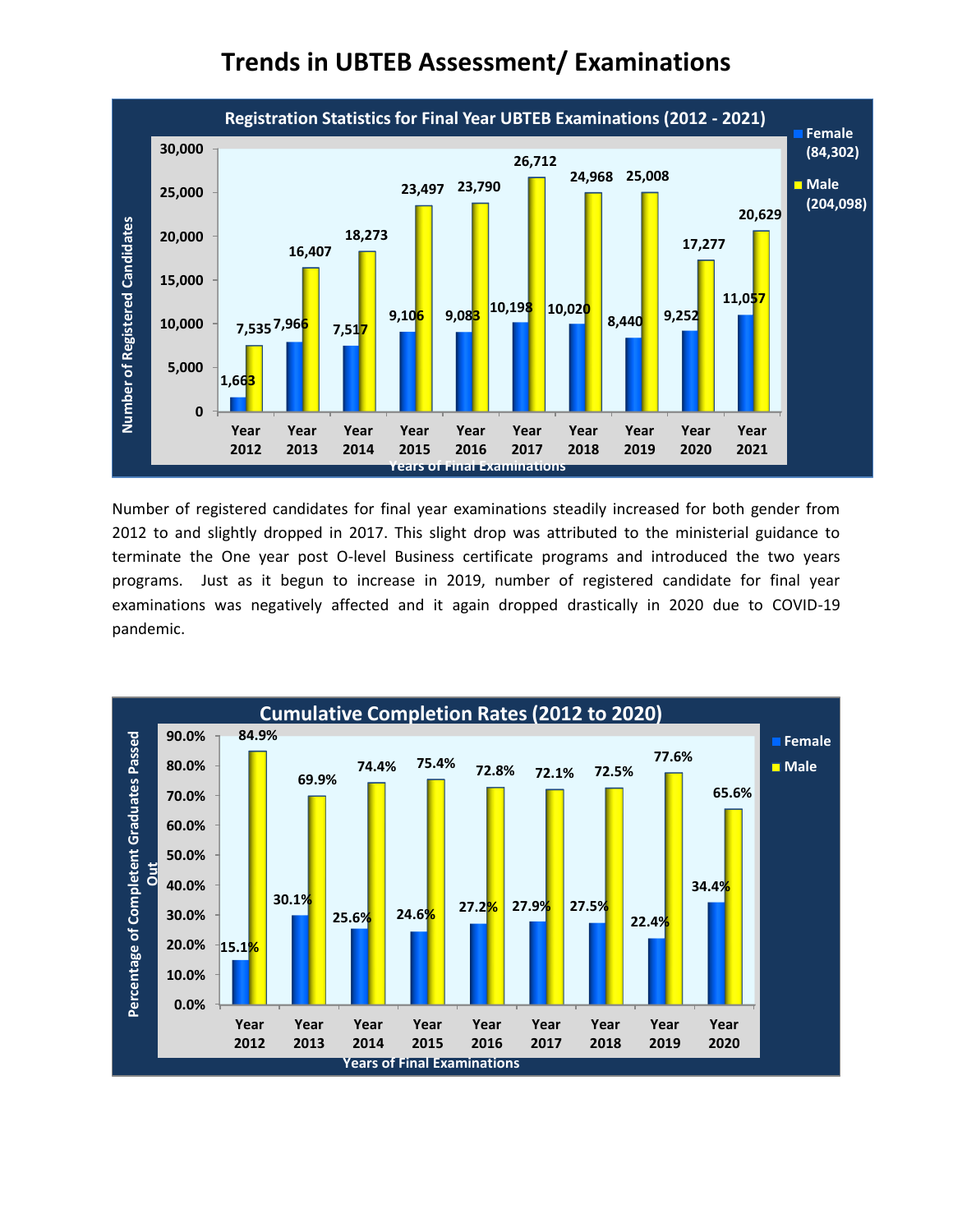## **Trends in UBTEB Assessment/ Examinations**



Number of registered candidates for final year examinations steadily increased for both gender from 2012 to and slightly dropped in 2017. This slight drop was attributed to the ministerial guidance to terminate the One year post O-level Business certificate programs and introduced the two years programs. Just as it begun to increase in 2019, number of registered candidate for final year examinations was negatively affected and it again dropped drastically in 2020 due to COVID-19 pandemic.